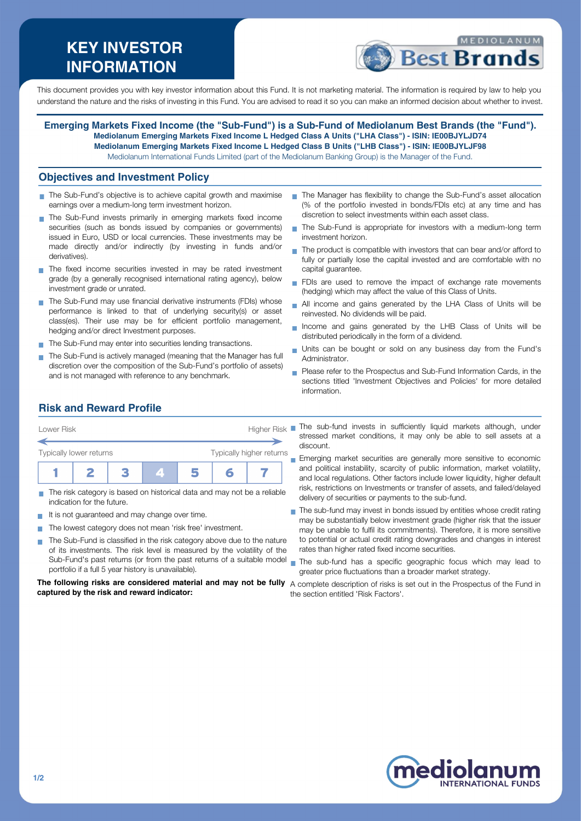# **KEY INVESTOR INFORMATION**



This document provides you with key investor information about this Fund. It is not marketing material. The information is required by law to help you understand the nature and the risks of investing in this Fund. You are advised to read it so you can make an informed decision about whether to invest.

**Emerging Markets Fixed Income (the "Sub-Fund") is a Sub-Fund of Mediolanum Best Brands (the "Fund"). Mediolanum Emerging Markets Fixed Income L Hedged Class A Units ("LHA Class") - ISIN: IE00BJYLJD74 Mediolanum Emerging Markets Fixed Income L Hedged Class B Units ("LHB Class") - ISIN: IE00BJYLJF98** Mediolanum International Funds Limited (part of the Mediolanum Banking Group) is the Manager of the Fund.

#### **Objectives and Investment Policy**

- The Sub-Fund's objective is to achieve capital growth and maximise earnings over a medium-long term investment horizon.
- The Sub-Fund invests primarily in emerging markets fixed income securities (such as bonds issued by companies or governments) issued in Euro, USD or local currencies. These investments may be made directly and/or indirectly (by investing in funds and/or derivatives).
- The fixed income securities invested in may be rated investment grade (by a generally recognised international rating agency), below investment grade or unrated.
- The Sub-Fund may use financial derivative instruments (FDIs) whose performance is linked to that of underlying security(s) or asset class(es). Their use may be for efficient portfolio management, hedging and/or direct Investment purposes.
- The Sub-Fund may enter into securities lending transactions.
- The Sub-Fund is actively managed (meaning that the Manager has full discretion over the composition of the Sub-Fund's portfolio of assets) and is not managed with reference to any benchmark.
- The Manager has flexibility to change the Sub-Fund's asset allocation (% of the portfolio invested in bonds/FDIs etc) at any time and has discretion to select investments within each asset class.
- The Sub-Fund is appropriate for investors with a medium-long term investment horizon.
- The product is compatible with investors that can bear and/or afford to fully or partially lose the capital invested and are comfortable with no capital guarantee.
- FDIs are used to remove the impact of exchange rate movements (hedging) which may affect the value of this Class of Units.
- All income and gains generated by the LHA Class of Units will be  $\overline{\phantom{a}}$ reinvested. No dividends will be paid.
- Income and gains generated by the LHB Class of Units will be  $\overline{\phantom{a}}$ distributed periodically in the form of a dividend.
- Units can be bought or sold on any business day from the Fund's Administrator.
- Please refer to the Prospectus and Sub-Fund Information Cards, in the sections titled 'Investment Objectives and Policies' for more detailed information.

### **Risk and Reward Profile**

| Typically higher returns<br>5<br>m | <b>Higher Risk</b><br>Lower Risk |  |  |  |  |  |  |  |
|------------------------------------|----------------------------------|--|--|--|--|--|--|--|
| Typically lower returns            |                                  |  |  |  |  |  |  |  |
|                                    |                                  |  |  |  |  |  |  |  |
|                                    |                                  |  |  |  |  |  |  |  |

- The risk category is based on historical data and may not be a reliable indication for the future.
- It is not guaranteed and may change over time.  $\mathbf{r}$
- The lowest category does not mean 'risk free' investment.
- The Sub-Fund is classified in the risk category above due to the nature of its investments. The risk level is measured by the volatility of the Sub-Fund's past returns (or from the past returns of a suitable model portfolio if a full 5 year history is unavailable).

**The following risks are considered material and may not be fully** A complete description of risks is set out in the Prospectus of the Fund in **captured by the risk and reward indicator:**

- The sub-fund invests in sufficiently liquid markets although, under stressed market conditions, it may only be able to sell assets at a discount.
- **Emerging market securities are generally more sensitive to economic** and political instability, scarcity of public information, market volatility, and local regulations. Other factors include lower liquidity, higher default risk, restrictions on Investments or transfer of assets, and failed/delayed delivery of securities or payments to the sub-fund.
- The sub-fund may invest in bonds issued by entities whose credit rating  $\overline{\phantom{a}}$ may be substantially below investment grade (higher risk that the issuer may be unable to fulfil its commitments). Therefore, it is more sensitive to potential or actual credit rating downgrades and changes in interest rates than higher rated fixed income securities.
- The sub-fund has a specific geographic focus which may lead to greater price fluctuations than a broader market strategy.

the section entitled 'Risk Factors'.